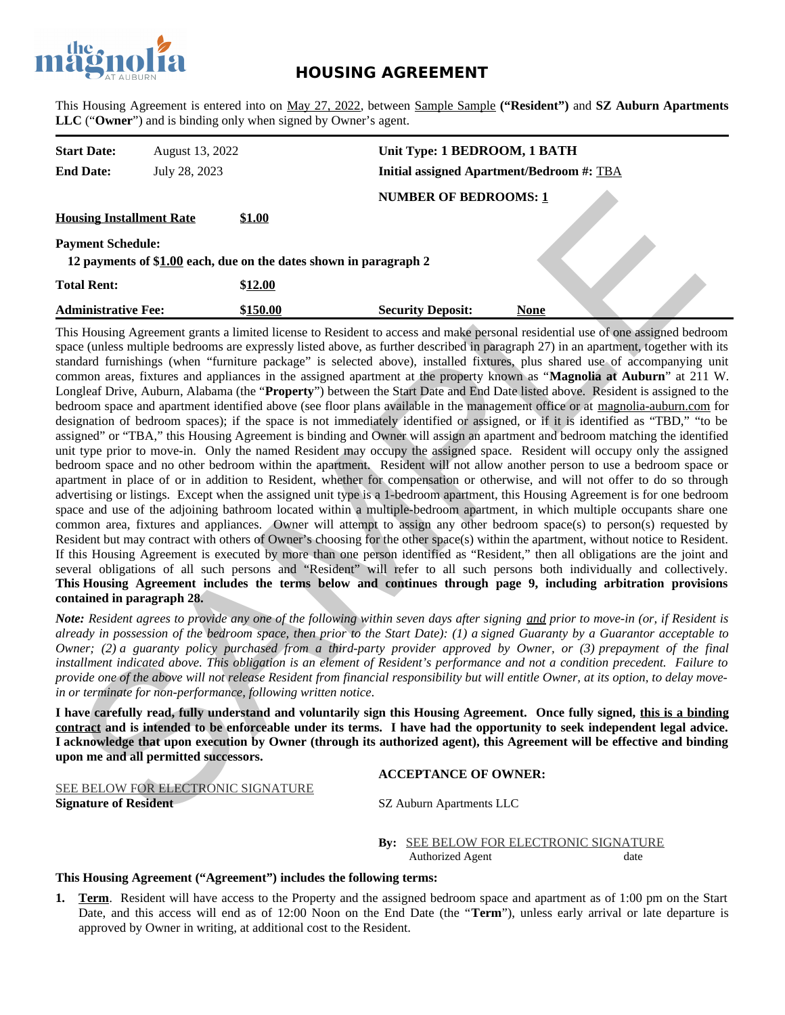

# **HOUSING AGREEMENT**

This Housing Agreement is entered into on May 27, 2022, between Sample Sample **("Resident")** and **SZ Auburn Apartments LLC** ("**Owner**") and is binding only when signed by Owner's agent.

| <b>Start Date:</b>                                                                            | August 13, 2022 |          | Unit Type: 1 BEDROOM, 1 BATH                     |      |  |
|-----------------------------------------------------------------------------------------------|-----------------|----------|--------------------------------------------------|------|--|
| <b>End Date:</b>                                                                              | July 28, 2023   |          | <b>Initial assigned Apartment/Bedroom #: TBA</b> |      |  |
|                                                                                               |                 |          | <b>NUMBER OF BEDROOMS: 1</b>                     |      |  |
| <b>Housing Installment Rate</b>                                                               |                 | \$1.00   |                                                  |      |  |
| <b>Payment Schedule:</b><br>12 payments of \$1.00 each, due on the dates shown in paragraph 2 |                 |          |                                                  |      |  |
| <b>Total Rent:</b>                                                                            |                 | \$12.00  |                                                  |      |  |
| <b>Administrative Fee:</b>                                                                    |                 | \$150.00 | <b>Security Deposit:</b>                         | None |  |

This Housing Agreement grants a limited license to Resident to access and make personal residential use of one assigned bedroom space (unless multiple bedrooms are expressly listed above, as further described in paragraph 27) in an apartment, together with its standard furnishings (when "furniture package" is selected above), installed fixtures, plus shared use of accompanying unit common areas, fixtures and appliances in the assigned apartment at the property known as "**Magnolia at Auburn**" at 211 W. Longleaf Drive, Auburn, Alabama (the "**Property**") between the Start Date and End Date listed above. Resident is assigned to the bedroom space and apartment identified above (see floor plans available in the management office or at magnolia-auburn.com for designation of bedroom spaces); if the space is not immediately identified or assigned, or if it is identified as "TBD," "to be assigned" or "TBA," this Housing Agreement is binding and Owner will assign an apartment and bedroom matching the identified unit type prior to move-in. Only the named Resident may occupy the assigned space. Resident will occupy only the assigned bedroom space and no other bedroom within the apartment. Resident will not allow another person to use a bedroom space or apartment in place of or in addition to Resident, whether for compensation or otherwise, and will not offer to do so through advertising or listings. Except when the assigned unit type is a 1-bedroom apartment, this Housing Agreement is for one bedroom space and use of the adjoining bathroom located within a multiple-bedroom apartment, in which multiple occupants share one common area, fixtures and appliances. Owner will attempt to assign any other bedroom space(s) to person(s) requested by Resident but may contract with others of Owner's choosing for the other space(s) within the apartment, without notice to Resident. If this Housing Agreement is executed by more than one person identified as "Resident," then all obligations are the joint and several obligations of all such persons and "Resident" will refer to all such persons both individually and collectively. **This Housing Agreement includes the terms below and continues through page 9, including arbitration provisions contained in paragraph 28.** NUMBER OF BEDROOMS:1<br>
Single Installment Rate<br>
Target Schedule:<br>
Dayment Schedule:<br>
Late Dayment Schedule:<br>
Late Dayment Schedule:<br>
Late Dayment Schedule:<br>
In Florida Consider the state of the signed and male proposition

*Note: Resident agrees to provide any one of the following within seven days after signing and prior to move-in (or, if Resident is already in possession of the bedroom space, then prior to the Start Date): (1) a signed Guaranty by a Guarantor acceptable to Owner; (2) a guaranty policy purchased from a third-party provider approved by Owner, or (3) prepayment of the final installment indicated above. This obligation is an element of Resident's performance and not a condition precedent. Failure to provide one of the above will not release Resident from financial responsibility but will entitle Owner, at its option, to delay movein or terminate for non-performance, following written notice.*

**I have carefully read, fully understand and voluntarily sign this Housing Agreement. Once fully signed, this is a binding contract and is intended to be enforceable under its terms. I have had the opportunity to seek independent legal advice. I acknowledge that upon execution by Owner (through its authorized agent), this Agreement will be effective and binding upon me and all permitted successors.**

#### **ACCEPTANCE OF OWNER:**

SEE BELOW FOR ELECTRONIC SIGNATURE **Signature of Resident** SZ Auburn Apartments LLC

# **By:** SEE BELOW FOR ELECTRONIC SIGNATURE

Authorized Agent date

### **This Housing Agreement ("Agreement") includes the following terms:**

**1. Term**. Resident will have access to the Property and the assigned bedroom space and apartment as of 1:00 pm on the Start Date, and this access will end as of 12:00 Noon on the End Date (the "**Term**"), unless early arrival or late departure is approved by Owner in writing, at additional cost to the Resident.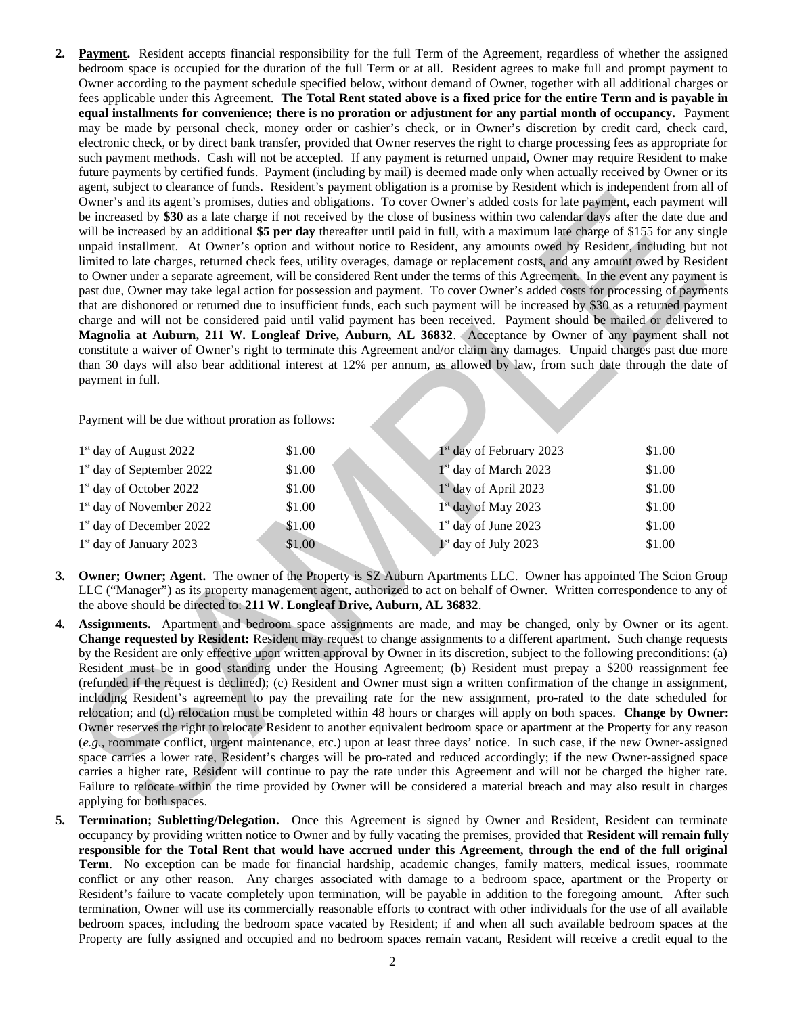**2. Payment.** Resident accepts financial responsibility for the full Term of the Agreement, regardless of whether the assigned bedroom space is occupied for the duration of the full Term or at all. Resident agrees to make full and prompt payment to Owner according to the payment schedule specified below, without demand of Owner, together with all additional charges or fees applicable under this Agreement. **The Total Rent stated above is a fixed price for the entire Term and is payable in equal installments for convenience; there is no proration or adjustment for any partial month of occupancy.** Payment may be made by personal check, money order or cashier's check, or in Owner's discretion by credit card, check card, electronic check, or by direct bank transfer, provided that Owner reserves the right to charge processing fees as appropriate for such payment methods. Cash will not be accepted. If any payment is returned unpaid, Owner may require Resident to make future payments by certified funds. Payment (including by mail) is deemed made only when actually received by Owner or its agent, subject to clearance of funds. Resident's payment obligation is a promise by Resident which is independent from all of Owner's and its agent's promises, duties and obligations. To cover Owner's added costs for late payment, each payment will be increased by **\$30** as a late charge if not received by the close of business within two calendar days after the date due and will be increased by an additional **\$5 per day** thereafter until paid in full, with a maximum late charge of \$155 for any single unpaid installment. At Owner's option and without notice to Resident, any amounts owed by Resident, including but not limited to late charges, returned check fees, utility overages, damage or replacement costs, and any amount owed by Resident to Owner under a separate agreement, will be considered Rent under the terms of this Agreement. In the event any payment is past due, Owner may take legal action for possession and payment. To cover Owner's added costs for processing of payments that are dishonored or returned due to insufficient funds, each such payment will be increased by \$30 as a returned payment charge and will not be considered paid until valid payment has been received. Payment should be mailed or delivered to **Magnolia at Auburn, 211 W. Longleaf Drive, Auburn, AL 36832**. Acceptance by Owner of any payment shall not constitute a waiver of Owner's right to terminate this Agreement and/or claim any damages. Unpaid charges past due more than 30 days will also bear additional interest at 12% per annum, as allowed by law, from such date through the date of payment in full. Even we show the same of the same of the same of the same of the same of the same of the same of the same of the same of the same of the same of the same of the same of the same of the same of the same of the same of the

Payment will be due without proration as follows:

| $1st$ day of August 2022            | \$1.00 | 1 <sup>st</sup> day of February 2023 | \$1.00 |
|-------------------------------------|--------|--------------------------------------|--------|
| $1st$ day of September 2022         | \$1.00 | $1st$ day of March 2023              | \$1.00 |
| 1 <sup>st</sup> day of October 2022 | \$1.00 | 1 <sup>st</sup> day of April 2023    | \$1.00 |
| $1st$ day of November 2022          | \$1.00 | $1st$ day of May 2023                | \$1.00 |
| $1st$ day of December 2022          | \$1.00 | $1st$ day of June 2023               | \$1.00 |
| $1st$ day of January 2023           | \$1.00 | 1 <sup>st</sup> day of July 2023     | \$1.00 |

- **3. Owner; Owner; Agent.** The owner of the Property is SZ Auburn Apartments LLC. Owner has appointed The Scion Group LLC ("Manager") as its property management agent, authorized to act on behalf of Owner. Written correspondence to any of the above should be directed to: **211 W. Longleaf Drive, Auburn, AL 36832**.
- **4. Assignments.** Apartment and bedroom space assignments are made, and may be changed, only by Owner or its agent. **Change requested by Resident:** Resident may request to change assignments to a different apartment. Such change requests by the Resident are only effective upon written approval by Owner in its discretion, subject to the following preconditions: (a) Resident must be in good standing under the Housing Agreement; (b) Resident must prepay a \$200 reassignment fee (refunded if the request is declined); (c) Resident and Owner must sign a written confirmation of the change in assignment, including Resident's agreement to pay the prevailing rate for the new assignment, pro-rated to the date scheduled for relocation; and (d) relocation must be completed within 48 hours or charges will apply on both spaces. **Change by Owner:** Owner reserves the right to relocate Resident to another equivalent bedroom space or apartment at the Property for any reason (*e.g.,* roommate conflict, urgent maintenance, etc.) upon at least three days' notice. In such case, if the new Owner-assigned space carries a lower rate, Resident's charges will be pro-rated and reduced accordingly; if the new Owner-assigned space carries a higher rate, Resident will continue to pay the rate under this Agreement and will not be charged the higher rate. Failure to relocate within the time provided by Owner will be considered a material breach and may also result in charges applying for both spaces.
- **5. Termination; Subletting/Delegation.** Once this Agreement is signed by Owner and Resident, Resident can terminate occupancy by providing written notice to Owner and by fully vacating the premises, provided that **Resident will remain fully responsible for the Total Rent that would have accrued under this Agreement, through the end of the full original Term**. No exception can be made for financial hardship, academic changes, family matters, medical issues, roommate conflict or any other reason. Any charges associated with damage to a bedroom space, apartment or the Property or Resident's failure to vacate completely upon termination, will be payable in addition to the foregoing amount. After such termination, Owner will use its commercially reasonable efforts to contract with other individuals for the use of all available bedroom spaces, including the bedroom space vacated by Resident; if and when all such available bedroom spaces at the Property are fully assigned and occupied and no bedroom spaces remain vacant, Resident will receive a credit equal to the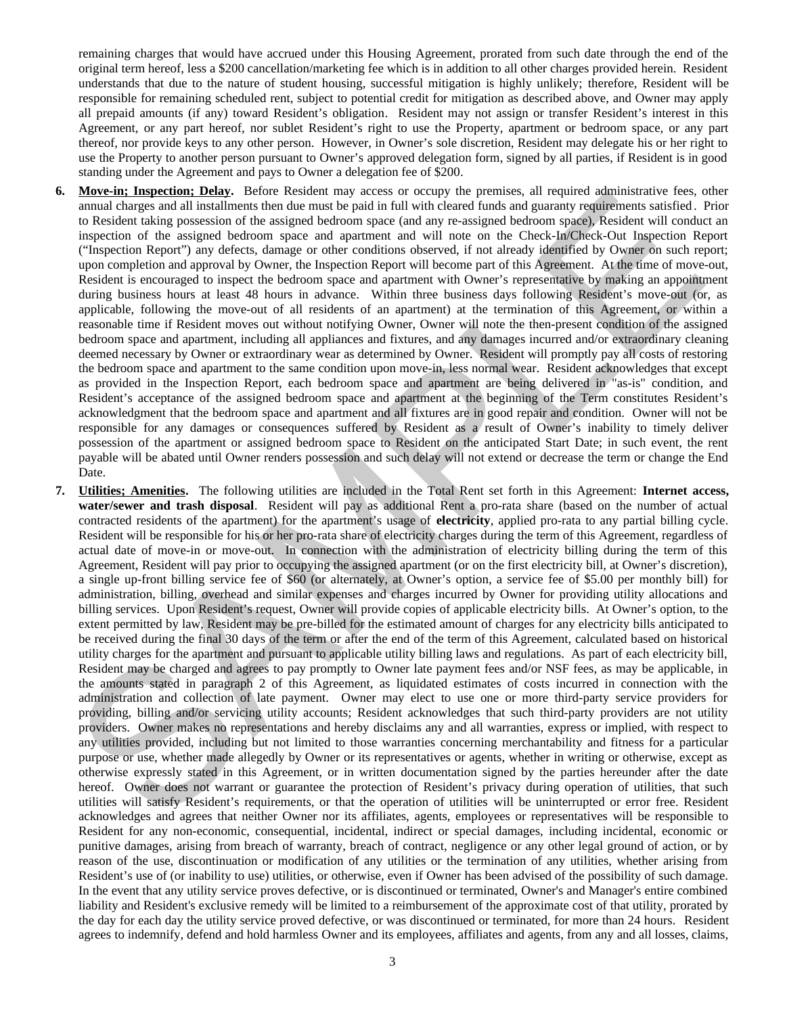remaining charges that would have accrued under this Housing Agreement, prorated from such date through the end of the original term hereof, less a \$200 cancellation/marketing fee which is in addition to all other charges provided herein. Resident understands that due to the nature of student housing, successful mitigation is highly unlikely; therefore, Resident will be responsible for remaining scheduled rent, subject to potential credit for mitigation as described above, and Owner may apply all prepaid amounts (if any) toward Resident's obligation. Resident may not assign or transfer Resident's interest in this Agreement, or any part hereof, nor sublet Resident's right to use the Property, apartment or bedroom space, or any part thereof, nor provide keys to any other person. However, in Owner's sole discretion, Resident may delegate his or her right to use the Property to another person pursuant to Owner's approved delegation form, signed by all parties, if Resident is in good standing under the Agreement and pays to Owner a delegation fee of \$200.

- **6. Move-in; Inspection; Delay.** Before Resident may access or occupy the premises, all required administrative fees, other annual charges and all installments then due must be paid in full with cleared funds and guaranty requirements satisfied . Prior to Resident taking possession of the assigned bedroom space (and any re-assigned bedroom space), Resident will conduct an inspection of the assigned bedroom space and apartment and will note on the Check-In/Check-Out Inspection Report ("Inspection Report") any defects, damage or other conditions observed, if not already identified by Owner on such report; upon completion and approval by Owner, the Inspection Report will become part of this Agreement. At the time of move-out, Resident is encouraged to inspect the bedroom space and apartment with Owner's representative by making an appointment during business hours at least 48 hours in advance. Within three business days following Resident's move-out (or, as applicable, following the move-out of all residents of an apartment) at the termination of this Agreement, or within a reasonable time if Resident moves out without notifying Owner, Owner will note the then-present condition of the assigned bedroom space and apartment, including all appliances and fixtures, and any damages incurred and/or extraordinary cleaning deemed necessary by Owner or extraordinary wear as determined by Owner. Resident will promptly pay all costs of restoring the bedroom space and apartment to the same condition upon move-in, less normal wear. Resident acknowledges that except as provided in the Inspection Report, each bedroom space and apartment are being delivered in "as-is" condition, and Resident's acceptance of the assigned bedroom space and apartment at the beginning of the Term constitutes Resident's acknowledgment that the bedroom space and apartment and all fixtures are in good repair and condition. Owner will not be responsible for any damages or consequences suffered by Resident as a result of Owner's inability to timely deliver possession of the apartment or assigned bedroom space to Resident on the anticipated Start Date; in such event, the rent payable will be abated until Owner renders possession and such delay will not extend or decrease the term or change the End Date.
- **7. Utilities; Amenities.** The following utilities are included in the Total Rent set forth in this Agreement: **Internet access, water/sewer and trash disposal**. Resident will pay as additional Rent a pro-rata share (based on the number of actual contracted residents of the apartment) for the apartment's usage of **electricity**, applied pro-rata to any partial billing cycle. Resident will be responsible for his or her pro-rata share of electricity charges during the term of this Agreement, regardless of actual date of move-in or move-out. In connection with the administration of electricity billing during the term of this Agreement, Resident will pay prior to occupying the assigned apartment (or on the first electricity bill, at Owner's discretion), a single up-front billing service fee of \$60 (or alternately, at Owner's option, a service fee of \$5.00 per monthly bill) for administration, billing, overhead and similar expenses and charges incurred by Owner for providing utility allocations and billing services. Upon Resident's request, Owner will provide copies of applicable electricity bills. At Owner's option, to the extent permitted by law, Resident may be pre-billed for the estimated amount of charges for any electricity bills anticipated to be received during the final 30 days of the term or after the end of the term of this Agreement, calculated based on historical utility charges for the apartment and pursuant to applicable utility billing laws and regulations. As part of each electricity bill, Resident may be charged and agrees to pay promptly to Owner late payment fees and/or NSF fees, as may be applicable, in the amounts stated in paragraph 2 of this Agreement, as liquidated estimates of costs incurred in connection with the administration and collection of late payment. Owner may elect to use one or more third-party service providers for providing, billing and/or servicing utility accounts; Resident acknowledges that such third-party providers are not utility providers. Owner makes no representations and hereby disclaims any and all warranties, express or implied, with respect to any utilities provided, including but not limited to those warranties concerning merchantability and fitness for a particular purpose or use, whether made allegedly by Owner or its representatives or agents, whether in writing or otherwise, except as otherwise expressly stated in this Agreement, or in written documentation signed by the parties hereunder after the date hereof. Owner does not warrant or guarantee the protection of Resident's privacy during operation of utilities, that such utilities will satisfy Resident's requirements, or that the operation of utilities will be uninterrupted or error free. Resident acknowledges and agrees that neither Owner nor its affiliates, agents, employees or representatives will be responsible to Resident for any non-economic, consequential, incidental, indirect or special damages, including incidental, economic or punitive damages, arising from breach of warranty, breach of contract, negligence or any other legal ground of action, or by reason of the use, discontinuation or modification of any utilities or the termination of any utilities, whether arising from Resident's use of (or inability to use) utilities, or otherwise, even if Owner has been advised of the possibility of such damage. In the event that any utility service proves defective, or is discontinued or terminated, Owner's and Manager's entire combined liability and Resident's exclusive remedy will be limited to a reimbursement of the approximate cost of that utility, prorated by the day for each day the utility service proved defective, or was discontinued or terminated, for more than 24 hours. Resident agrees to indemnify, defend and hold harmless Owner and its employees, affiliates and agents, from any and all losses, claims, Material Inspection. However, the material material and the periodic state inspection and insultane term and insultane term and insultane insultane and insultane in the periodic state in the material insultane in the seco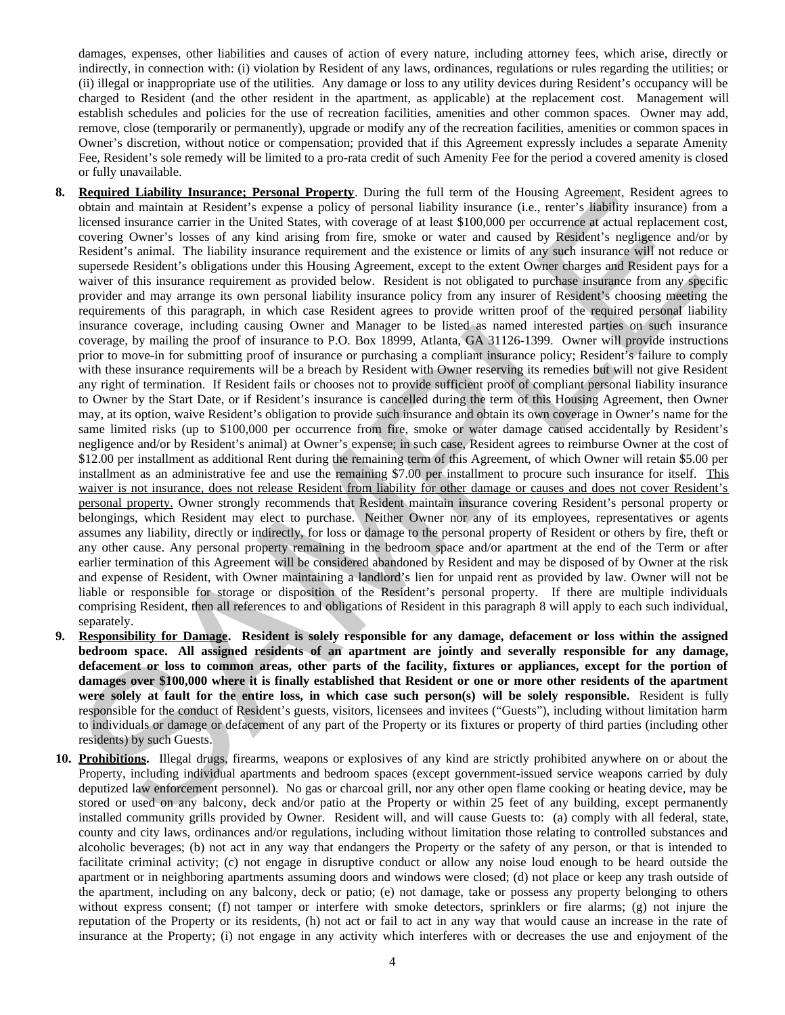damages, expenses, other liabilities and causes of action of every nature, including attorney fees, which arise, directly or indirectly, in connection with: (i) violation by Resident of any laws, ordinances, regulations or rules regarding the utilities; or (ii) illegal or inappropriate use of the utilities. Any damage or loss to any utility devices during Resident's occupancy will be charged to Resident (and the other resident in the apartment, as applicable) at the replacement cost. Management will establish schedules and policies for the use of recreation facilities, amenities and other common spaces. Owner may add, remove, close (temporarily or permanently), upgrade or modify any of the recreation facilities, amenities or common spaces in Owner's discretion, without notice or compensation; provided that if this Agreement expressly includes a separate Amenity Fee, Resident's sole remedy will be limited to a pro-rata credit of such Amenity Fee for the period a covered amenity is closed or fully unavailable.

- **8. Required Liability Insurance; Personal Property**. During the full term of the Housing Agreement, Resident agrees to obtain and maintain at Resident's expense a policy of personal liability insurance (i.e., renter's liability insurance) from a licensed insurance carrier in the United States, with coverage of at least \$100,000 per occurrence at actual replacement cost, covering Owner's losses of any kind arising from fire, smoke or water and caused by Resident's negligence and/or by Resident's animal. The liability insurance requirement and the existence or limits of any such insurance will not reduce or supersede Resident's obligations under this Housing Agreement, except to the extent Owner charges and Resident pays for a waiver of this insurance requirement as provided below. Resident is not obligated to purchase insurance from any specific provider and may arrange its own personal liability insurance policy from any insurer of Resident's choosing meeting the requirements of this paragraph, in which case Resident agrees to provide written proof of the required personal liability insurance coverage, including causing Owner and Manager to be listed as named interested parties on such insurance coverage, by mailing the proof of insurance to P.O. Box 18999, Atlanta, GA 31126-1399. Owner will provide instructions prior to move-in for submitting proof of insurance or purchasing a compliant insurance policy; Resident's failure to comply with these insurance requirements will be a breach by Resident with Owner reserving its remedies but will not give Resident any right of termination. If Resident fails or chooses not to provide sufficient proof of compliant personal liability insurance to Owner by the Start Date, or if Resident's insurance is cancelled during the term of this Housing Agreement, then Owner may, at its option, waive Resident's obligation to provide such insurance and obtain its own coverage in Owner's name for the same limited risks (up to \$100,000 per occurrence from fire, smoke or water damage caused accidentally by Resident's negligence and/or by Resident's animal) at Owner's expense; in such case, Resident agrees to reimburse Owner at the cost of \$12.00 per installment as additional Rent during the remaining term of this Agreement, of which Owner will retain \$5.00 per installment as an administrative fee and use the remaining \$7.00 per installment to procure such insurance for itself. This waiver is not insurance, does not release Resident from liability for other damage or causes and does not cover Resident's personal property. Owner strongly recommends that Resident maintain insurance covering Resident's personal property or belongings, which Resident may elect to purchase. Neither Owner nor any of its employees, representatives or agents assumes any liability, directly or indirectly, for loss or damage to the personal property of Resident or others by fire, theft or any other cause. Any personal property remaining in the bedroom space and/or apartment at the end of the Term or after earlier termination of this Agreement will be considered abandoned by Resident and may be disposed of by Owner at the risk and expense of Resident, with Owner maintaining a landlord's lien for unpaid rent as provided by law. Owner will not be liable or responsible for storage or disposition of the Resident's personal property. If there are multiple individuals comprising Resident, then all references to and obligations of Resident in this paragraph 8 will apply to each such individual, separately. Required Linking harmonic Personal Penerty. During the bill limit of the Housing Aperasy Research Resident age. Sollid School per constrained the bill limit of the Housing Apera Color Personal Resident Associates and the
- **9. Responsibility for Damage. Resident is solely responsible for any damage, defacement or loss within the assigned bedroom space. All assigned residents of an apartment are jointly and severally responsible for any damage, defacement or loss to common areas, other parts of the facility, fixtures or appliances, except for the portion of damages over \$100,000 where it is finally established that Resident or one or more other residents of the apartment were solely at fault for the entire loss, in which case such person(s) will be solely responsible.** Resident is fully responsible for the conduct of Resident's guests, visitors, licensees and invitees ("Guests"), including without limitation harm to individuals or damage or defacement of any part of the Property or its fixtures or property of third parties (including other residents) by such Guests.
- **10. Prohibitions.** Illegal drugs, firearms, weapons or explosives of any kind are strictly prohibited anywhere on or about the Property, including individual apartments and bedroom spaces (except government-issued service weapons carried by duly deputized law enforcement personnel). No gas or charcoal grill, nor any other open flame cooking or heating device, may be stored or used on any balcony, deck and/or patio at the Property or within 25 feet of any building, except permanently installed community grills provided by Owner. Resident will, and will cause Guests to: (a) comply with all federal, state, county and city laws, ordinances and/or regulations, including without limitation those relating to controlled substances and alcoholic beverages; (b) not act in any way that endangers the Property or the safety of any person, or that is intended to facilitate criminal activity; (c) not engage in disruptive conduct or allow any noise loud enough to be heard outside the apartment or in neighboring apartments assuming doors and windows were closed; (d) not place or keep any trash outside of the apartment, including on any balcony, deck or patio; (e) not damage, take or possess any property belonging to others without express consent; (f) not tamper or interfere with smoke detectors, sprinklers or fire alarms; (g) not injure the reputation of the Property or its residents, (h) not act or fail to act in any way that would cause an increase in the rate of insurance at the Property; (i) not engage in any activity which interferes with or decreases the use and enjoyment of the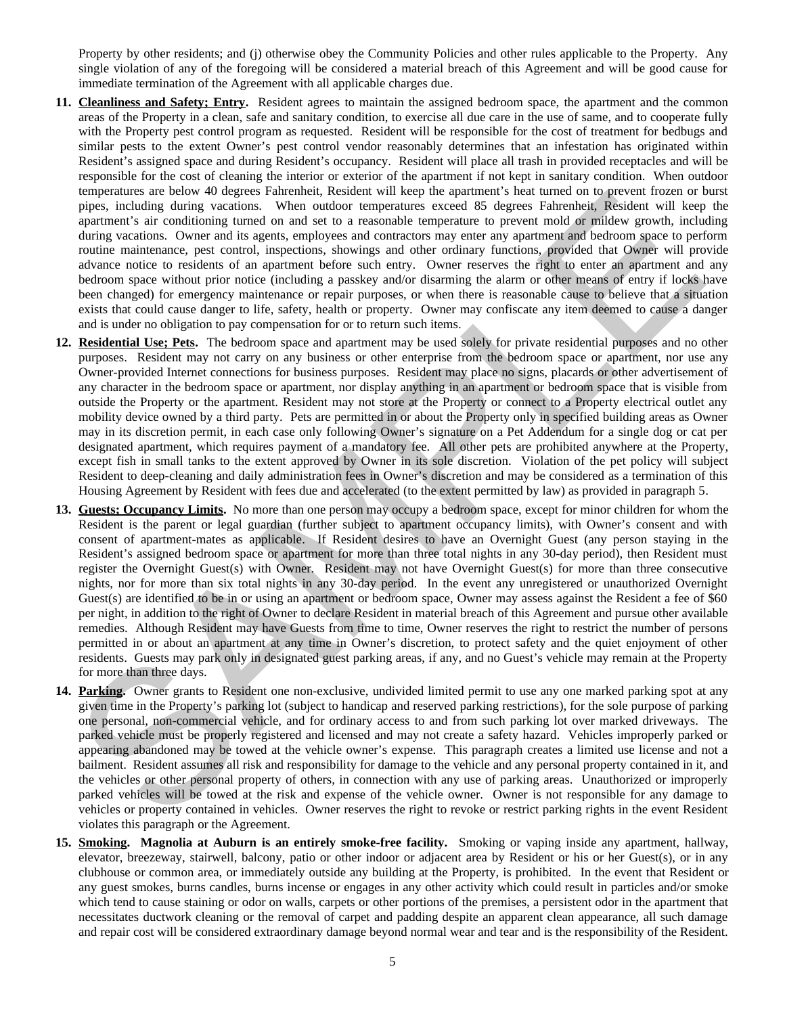Property by other residents; and (j) otherwise obey the Community Policies and other rules applicable to the Property. Any single violation of any of the foregoing will be considered a material breach of this Agreement and will be good cause for immediate termination of the Agreement with all applicable charges due.

- **11. Cleanliness and Safety; Entry.** Resident agrees to maintain the assigned bedroom space, the apartment and the common areas of the Property in a clean, safe and sanitary condition, to exercise all due care in the use of same, and to cooperate fully with the Property pest control program as requested. Resident will be responsible for the cost of treatment for bedbugs and similar pests to the extent Owner's pest control vendor reasonably determines that an infestation has originated within Resident's assigned space and during Resident's occupancy. Resident will place all trash in provided receptacles and will be responsible for the cost of cleaning the interior or exterior of the apartment if not kept in sanitary condition. When outdoor temperatures are below 40 degrees Fahrenheit, Resident will keep the apartment's heat turned on to prevent frozen or burst pipes, including during vacations. When outdoor temperatures exceed 85 degrees Fahrenheit, Resident will keep the apartment's air conditioning turned on and set to a reasonable temperature to prevent mold or mildew growth, including during vacations. Owner and its agents, employees and contractors may enter any apartment and bedroom space to perform routine maintenance, pest control, inspections, showings and other ordinary functions, provided that Owner will provide advance notice to residents of an apartment before such entry. Owner reserves the right to enter an apartment and any bedroom space without prior notice (including a passkey and/or disarming the alarm or other means of entry if locks have been changed) for emergency maintenance or repair purposes, or when there is reasonable cause to believe that a situation exists that could cause danger to life, safety, health or property. Owner may confiscate any item deemed to cause a danger and is under no obligation to pay compensation for or to return such items.
- **12. Residential Use; Pets.** The bedroom space and apartment may be used solely for private residential purposes and no other purposes. Resident may not carry on any business or other enterprise from the bedroom space or apartment, nor use any Owner-provided Internet connections for business purposes. Resident may place no signs, placards or other advertisement of any character in the bedroom space or apartment, nor display anything in an apartment or bedroom space that is visible from outside the Property or the apartment. Resident may not store at the Property or connect to a Property electrical outlet any mobility device owned by a third party. Pets are permitted in or about the Property only in specified building areas as Owner may in its discretion permit, in each case only following Owner's signature on a Pet Addendum for a single dog or cat per designated apartment, which requires payment of a mandatory fee. All other pets are prohibited anywhere at the Property, except fish in small tanks to the extent approved by Owner in its sole discretion. Violation of the pet policy will subject Resident to deep-cleaning and daily administration fees in Owner's discretion and may be considered as a termination of this Housing Agreement by Resident with fees due and accelerated (to the extent permitted by law) as provided in paragraph 5.
- **13. Guests; Occupancy Limits.** No more than one person may occupy a bedroom space, except for minor children for whom the Resident is the parent or legal guardian (further subject to apartment occupancy limits), with Owner's consent and with consent of apartment-mates as applicable. If Resident desires to have an Overnight Guest (any person staying in the Resident's assigned bedroom space or apartment for more than three total nights in any 30-day period), then Resident must register the Overnight Guest(s) with Owner. Resident may not have Overnight Guest(s) for more than three consecutive nights, nor for more than six total nights in any 30-day period. In the event any unregistered or unauthorized Overnight Guest(s) are identified to be in or using an apartment or bedroom space, Owner may assess against the Resident a fee of \$60 per night, in addition to the right of Owner to declare Resident in material breach of this Agreement and pursue other available remedies. Although Resident may have Guests from time to time, Owner reserves the right to restrict the number of persons permitted in or about an apartment at any time in Owner's discretion, to protect safety and the quiet enjoyment of other residents. Guests may park only in designated guest parking areas, if any, and no Guest's vehicle may remain at the Property for more than three days. is tenserates are better and any of the greater statestic scattering and any of the present of the cost are entropy of the state of the cost are entropy in the state of the cost are entropy in the state of the state of th
- **14. Parking.** Owner grants to Resident one non-exclusive, undivided limited permit to use any one marked parking spot at any given time in the Property's parking lot (subject to handicap and reserved parking restrictions), for the sole purpose of parking one personal, non-commercial vehicle, and for ordinary access to and from such parking lot over marked driveways. The parked vehicle must be properly registered and licensed and may not create a safety hazard. Vehicles improperly parked or appearing abandoned may be towed at the vehicle owner's expense. This paragraph creates a limited use license and not a bailment. Resident assumes all risk and responsibility for damage to the vehicle and any personal property contained in it, and the vehicles or other personal property of others, in connection with any use of parking areas. Unauthorized or improperly parked vehicles will be towed at the risk and expense of the vehicle owner. Owner is not responsible for any damage to vehicles or property contained in vehicles. Owner reserves the right to revoke or restrict parking rights in the event Resident violates this paragraph or the Agreement.
- **15. Smoking. Magnolia at Auburn is an entirely smoke-free facility.** Smoking or vaping inside any apartment, hallway, elevator, breezeway, stairwell, balcony, patio or other indoor or adjacent area by Resident or his or her Guest(s), or in any clubhouse or common area, or immediately outside any building at the Property, is prohibited. In the event that Resident or any guest smokes, burns candles, burns incense or engages in any other activity which could result in particles and/or smoke which tend to cause staining or odor on walls, carpets or other portions of the premises, a persistent odor in the apartment that necessitates ductwork cleaning or the removal of carpet and padding despite an apparent clean appearance, all such damage and repair cost will be considered extraordinary damage beyond normal wear and tear and is the responsibility of the Resident.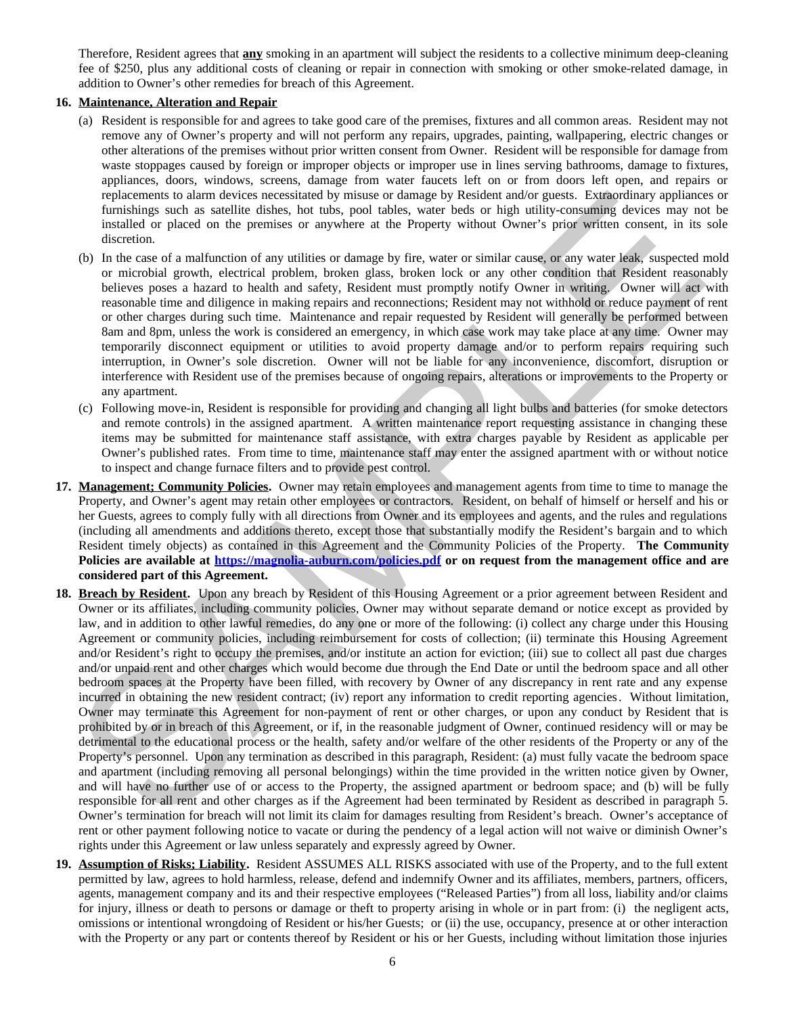Therefore, Resident agrees that **any** smoking in an apartment will subject the residents to a collective minimum deep-cleaning fee of \$250, plus any additional costs of cleaning or repair in connection with smoking or other smoke-related damage, in addition to Owner's other remedies for breach of this Agreement.

#### **16. Maintenance, Alteration and Repair**

- (a) Resident is responsible for and agrees to take good care of the premises, fixtures and all common areas. Resident may not remove any of Owner's property and will not perform any repairs, upgrades, painting, wallpapering, electric changes or other alterations of the premises without prior written consent from Owner. Resident will be responsible for damage from waste stoppages caused by foreign or improper objects or improper use in lines serving bathrooms, damage to fixtures, appliances, doors, windows, screens, damage from water faucets left on or from doors left open, and repairs or replacements to alarm devices necessitated by misuse or damage by Resident and/or guests. Extraordinary appliances or furnishings such as satellite dishes, hot tubs, pool tables, water beds or high utility-consuming devices may not be installed or placed on the premises or anywhere at the Property without Owner's prior written consent, in its sole discretion.
- (b) In the case of a malfunction of any utilities or damage by fire, water or similar cause, or any water leak, suspected mold or microbial growth, electrical problem, broken glass, broken lock or any other condition that Resident reasonably believes poses a hazard to health and safety, Resident must promptly notify Owner in writing. Owner will act with reasonable time and diligence in making repairs and reconnections; Resident may not withhold or reduce payment of rent or other charges during such time. Maintenance and repair requested by Resident will generally be performed between 8am and 8pm, unless the work is considered an emergency, in which case work may take place at any time. Owner may temporarily disconnect equipment or utilities to avoid property damage and/or to perform repairs requiring such interruption, in Owner's sole discretion. Owner will not be liable for any inconvenience, discomfort, disruption or interference with Resident use of the premises because of ongoing repairs, alterations or improvements to the Property or any apartment.
- (c) Following move-in, Resident is responsible for providing and changing all light bulbs and batteries (for smoke detectors and remote controls) in the assigned apartment. A written maintenance report requesting assistance in changing these items may be submitted for maintenance staff assistance, with extra charges payable by Resident as applicable per Owner's published rates. From time to time, maintenance staff may enter the assigned apartment with or without notice to inspect and change furnace filters and to provide pest control.
- **17. Management; Community Policies.** Owner may retain employees and management agents from time to time to manage the Property, and Owner's agent may retain other employees or contractors. Resident, on behalf of himself or herself and his or her Guests, agrees to comply fully with all directions from Owner and its employees and agents, and the rules and regulations (including all amendments and additions thereto, except those that substantially modify the Resident's bargain and to which Resident timely objects) as contained in this Agreement and the Community Policies of the Property. **The Community Policies are available at https://magnolia-auburn.com/policies.pdf or on request from the management office and are considered part of this Agreement.**
- **18. Breach by Resident.** Upon any breach by Resident of this Housing Agreement or a prior agreement between Resident and Owner or its affiliates, including community policies, Owner may without separate demand or notice except as provided by law, and in addition to other lawful remedies, do any one or more of the following: (i) collect any charge under this Housing Agreement or community policies, including reimbursement for costs of collection; (ii) terminate this Housing Agreement and/or Resident's right to occupy the premises, and/or institute an action for eviction; (iii) sue to collect all past due charges and/or unpaid rent and other charges which would become due through the End Date or until the bedroom space and all other bedroom spaces at the Property have been filled, with recovery by Owner of any discrepancy in rent rate and any expense incurred in obtaining the new resident contract; (iv) report any information to credit reporting agencies. Without limitation, Owner may terminate this Agreement for non-payment of rent or other charges, or upon any conduct by Resident that is prohibited by or in breach of this Agreement, or if, in the reasonable judgment of Owner, continued residency will or may be detrimental to the educational process or the health, safety and/or welfare of the other residents of the Property or any of the Property's personnel. Upon any termination as described in this paragraph, Resident: (a) must fully vacate the bedroom space and apartment (including removing all personal belongings) within the time provided in the written notice given by Owner, and will have no further use of or access to the Property, the assigned apartment or bedroom space; and (b) will be fully responsible for all rent and other charges as if the Agreement had been terminated by Resident as described in paragraph 5. Owner's termination for breach will not limit its claim for damages resulting from Resident's breach. Owner's acceptance of rent or other payment following notice to vacate or during the pendency of a legal action will not waive or diminish Owner's rights under this Agreement or law unless separately and expressly agreed by Owner. replacements to aim flowice forests and the prints or dumage by Resident and/or guess. Examplements of aim diversion of the present and the property without Owner's prior within consent, in its discussion of the present of
- **19. Assumption of Risks; Liability.** Resident ASSUMES ALL RISKS associated with use of the Property, and to the full extent permitted by law, agrees to hold harmless, release, defend and indemnify Owner and its affiliates, members, partners, officers, agents, management company and its and their respective employees ("Released Parties") from all loss, liability and/or claims for injury, illness or death to persons or damage or theft to property arising in whole or in part from: (i) the negligent acts, omissions or intentional wrongdoing of Resident or his/her Guests; or (ii) the use, occupancy, presence at or other interaction with the Property or any part or contents thereof by Resident or his or her Guests, including without limitation those injuries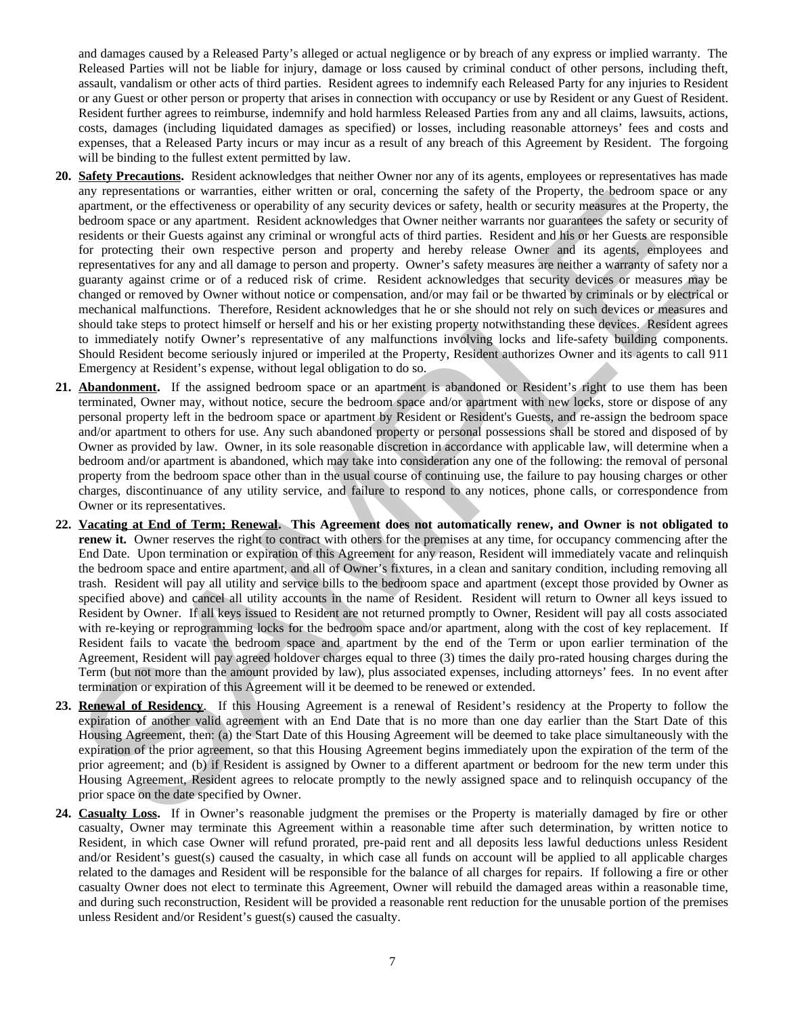and damages caused by a Released Party's alleged or actual negligence or by breach of any express or implied warranty. The Released Parties will not be liable for injury, damage or loss caused by criminal conduct of other persons, including theft, assault, vandalism or other acts of third parties. Resident agrees to indemnify each Released Party for any injuries to Resident or any Guest or other person or property that arises in connection with occupancy or use by Resident or any Guest of Resident. Resident further agrees to reimburse, indemnify and hold harmless Released Parties from any and all claims, lawsuits, actions, costs, damages (including liquidated damages as specified) or losses, including reasonable attorneys' fees and costs and expenses, that a Released Party incurs or may incur as a result of any breach of this Agreement by Resident. The forgoing will be binding to the fullest extent permitted by law.

- **20. Safety Precautions.** Resident acknowledges that neither Owner nor any of its agents, employees or representatives has made any representations or warranties, either written or oral, concerning the safety of the Property, the bedroom space or any apartment, or the effectiveness or operability of any security devices or safety, health or security measures at the Property, the bedroom space or any apartment. Resident acknowledges that Owner neither warrants nor guarantees the safety or security of residents or their Guests against any criminal or wrongful acts of third parties. Resident and his or her Guests are responsible for protecting their own respective person and property and hereby release Owner and its agents, employees and representatives for any and all damage to person and property. Owner's safety measures are neither a warranty of safety nor a guaranty against crime or of a reduced risk of crime. Resident acknowledges that security devices or measures may be changed or removed by Owner without notice or compensation, and/or may fail or be thwarted by criminals or by electrical or mechanical malfunctions. Therefore, Resident acknowledges that he or she should not rely on such devices or measures and should take steps to protect himself or herself and his or her existing property notwithstanding these devices. Resident agrees to immediately notify Owner's representative of any malfunctions involving locks and life-safety building components. Should Resident become seriously injured or imperiled at the Property, Resident authorizes Owner and its agents to call 911 Emergency at Resident's expense, without legal obligation to do so. any representations or warranties, eine wenter or call, concerning the safety dial the trieperty that between the control of the same of the same of the same of the same of the same of the same of the same of the same of
- **21. Abandonment.** If the assigned bedroom space or an apartment is abandoned or Resident's right to use them has been terminated, Owner may, without notice, secure the bedroom space and/or apartment with new locks, store or dispose of any personal property left in the bedroom space or apartment by Resident or Resident's Guests, and re-assign the bedroom space and/or apartment to others for use. Any such abandoned property or personal possessions shall be stored and disposed of by Owner as provided by law. Owner, in its sole reasonable discretion in accordance with applicable law, will determine when a bedroom and/or apartment is abandoned, which may take into consideration any one of the following: the removal of personal property from the bedroom space other than in the usual course of continuing use, the failure to pay housing charges or other charges, discontinuance of any utility service, and failure to respond to any notices, phone calls, or correspondence from Owner or its representatives.
- **22. Vacating at End of Term; Renewal. This Agreement does not automatically renew, and Owner is not obligated to renew it.** Owner reserves the right to contract with others for the premises at any time, for occupancy commencing after the End Date. Upon termination or expiration of this Agreement for any reason, Resident will immediately vacate and relinquish the bedroom space and entire apartment, and all of Owner's fixtures, in a clean and sanitary condition, including removing all trash. Resident will pay all utility and service bills to the bedroom space and apartment (except those provided by Owner as specified above) and cancel all utility accounts in the name of Resident. Resident will return to Owner all keys issued to Resident by Owner. If all keys issued to Resident are not returned promptly to Owner, Resident will pay all costs associated with re-keying or reprogramming locks for the bedroom space and/or apartment, along with the cost of key replacement. If Resident fails to vacate the bedroom space and apartment by the end of the Term or upon earlier termination of the Agreement, Resident will pay agreed holdover charges equal to three (3) times the daily pro-rated housing charges during the Term (but not more than the amount provided by law), plus associated expenses, including attorneys' fees. In no event after termination or expiration of this Agreement will it be deemed to be renewed or extended.
- **23. Renewal of Residency**. If this Housing Agreement is a renewal of Resident's residency at the Property to follow the expiration of another valid agreement with an End Date that is no more than one day earlier than the Start Date of this Housing Agreement, then: (a) the Start Date of this Housing Agreement will be deemed to take place simultaneously with the expiration of the prior agreement, so that this Housing Agreement begins immediately upon the expiration of the term of the prior agreement; and (b) if Resident is assigned by Owner to a different apartment or bedroom for the new term under this Housing Agreement, Resident agrees to relocate promptly to the newly assigned space and to relinquish occupancy of the prior space on the date specified by Owner.
- **24. Casualty Loss.** If in Owner's reasonable judgment the premises or the Property is materially damaged by fire or other casualty, Owner may terminate this Agreement within a reasonable time after such determination, by written notice to Resident, in which case Owner will refund prorated, pre-paid rent and all deposits less lawful deductions unless Resident and/or Resident's guest(s) caused the casualty, in which case all funds on account will be applied to all applicable charges related to the damages and Resident will be responsible for the balance of all charges for repairs. If following a fire or other casualty Owner does not elect to terminate this Agreement, Owner will rebuild the damaged areas within a reasonable time, and during such reconstruction, Resident will be provided a reasonable rent reduction for the unusable portion of the premises unless Resident and/or Resident's guest(s) caused the casualty.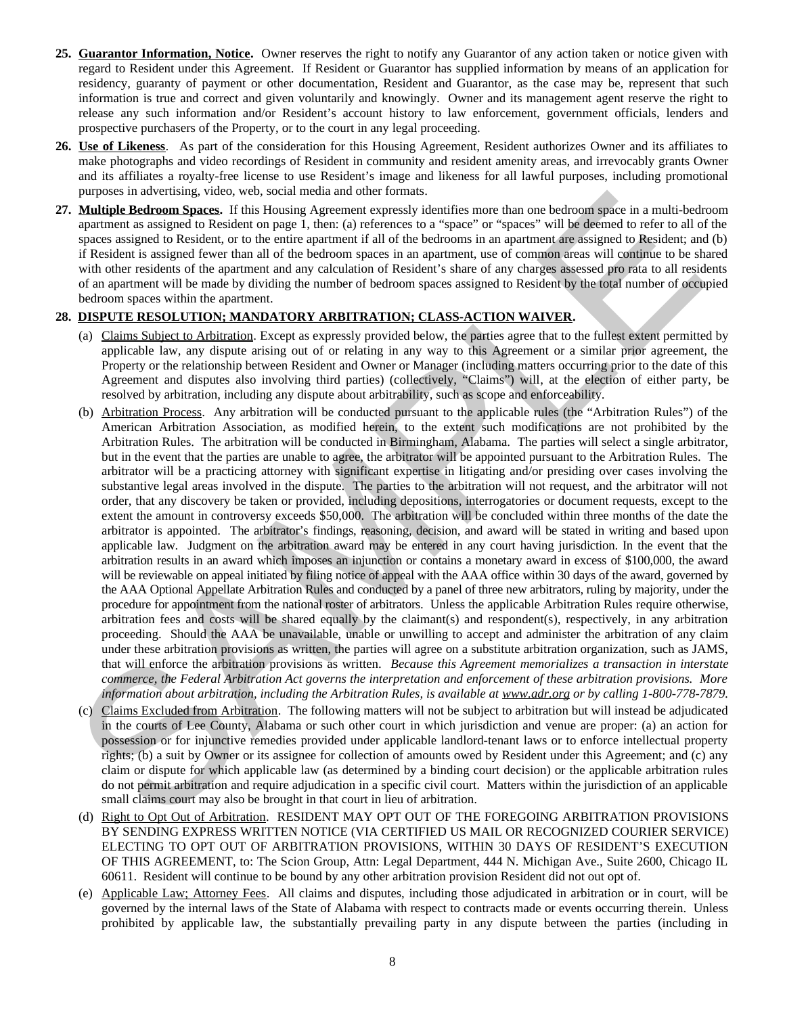- **25. Guarantor Information, Notice.** Owner reserves the right to notify any Guarantor of any action taken or notice given with regard to Resident under this Agreement. If Resident or Guarantor has supplied information by means of an application for residency, guaranty of payment or other documentation, Resident and Guarantor, as the case may be, represent that such information is true and correct and given voluntarily and knowingly. Owner and its management agent reserve the right to release any such information and/or Resident's account history to law enforcement, government officials, lenders and prospective purchasers of the Property, or to the court in any legal proceeding.
- **26. Use of Likeness**. As part of the consideration for this Housing Agreement, Resident authorizes Owner and its affiliates to make photographs and video recordings of Resident in community and resident amenity areas, and irrevocably grants Owner and its affiliates a royalty-free license to use Resident's image and likeness for all lawful purposes, including promotional purposes in advertising, video, web, social media and other formats.
- **27. Multiple Bedroom Spaces.** If this Housing Agreement expressly identifies more than one bedroom space in a multi-bedroom apartment as assigned to Resident on page 1, then: (a) references to a "space" or "spaces" will be deemed to refer to all of the spaces assigned to Resident, or to the entire apartment if all of the bedrooms in an apartment are assigned to Resident; and (b) if Resident is assigned fewer than all of the bedroom spaces in an apartment, use of common areas will continue to be shared with other residents of the apartment and any calculation of Resident's share of any charges assessed pro rata to all residents of an apartment will be made by dividing the number of bedroom spaces assigned to Resident by the total number of occupied bedroom spaces within the apartment.

## **28. DISPUTE RESOLUTION; MANDATORY ARBITRATION; CLASS-ACTION WAIVER.**

- (a) Claims Subject to Arbitration. Except as expressly provided below, the parties agree that to the fullest extent permitted by applicable law, any dispute arising out of or relating in any way to this Agreement or a similar prior agreement, the Property or the relationship between Resident and Owner or Manager (including matters occurring prior to the date of this Agreement and disputes also involving third parties) (collectively, "Claims") will, at the election of either party, be resolved by arbitration, including any dispute about arbitrability, such as scope and enforceability.
- (b) Arbitration Process. Any arbitration will be conducted pursuant to the applicable rules (the "Arbitration Rules") of the American Arbitration Association, as modified herein, to the extent such modifications are not prohibited by the Arbitration Rules. The arbitration will be conducted in Birmingham, Alabama. The parties will select a single arbitrator, but in the event that the parties are unable to agree, the arbitrator will be appointed pursuant to the Arbitration Rules. The arbitrator will be a practicing attorney with significant expertise in litigating and/or presiding over cases involving the substantive legal areas involved in the dispute. The parties to the arbitration will not request, and the arbitrator will not order, that any discovery be taken or provided, including depositions, interrogatories or document requests, except to the extent the amount in controversy exceeds \$50,000. The arbitration will be concluded within three months of the date the arbitrator is appointed. The arbitrator's findings, reasoning, decision, and award will be stated in writing and based upon applicable law. Judgment on the arbitration award may be entered in any court having jurisdiction. In the event that the arbitration results in an award which imposes an injunction or contains a monetary award in excess of \$100,000, the award will be reviewable on appeal initiated by filing notice of appeal with the AAA office within 30 days of the award, governed by the AAA Optional Appellate Arbitration Rules and conducted by a panel of three new arbitrators, ruling by majority, under the procedure for appointment from the national roster of arbitrators. Unless the applicable Arbitration Rules require otherwise, arbitration fees and costs will be shared equally by the claimant(s) and respondent(s), respectively, in any arbitration proceeding. Should the AAA be unavailable, unable or unwilling to accept and administer the arbitration of any claim under these arbitration provisions as written, the parties will agree on a substitute arbitration organization, such as JAMS, that will enforce the arbitration provisions as written. *Because this Agreement memorializes a transaction in interstate commerce, the Federal Arbitration Act governs the interpretation and enforcement of these arbitration provisions. More information about arbitration, including the Arbitration Rules, is available at www.adr.org or by calling 1-800-778-7879.* **Pursons natural case of Residents** and different expectations and the formation and case of the formation and the content of the system of the system of the system of the system of the system of the system of the system
- (c) Claims Excluded from Arbitration. The following matters will not be subject to arbitration but will instead be adjudicated in the courts of Lee County, Alabama or such other court in which jurisdiction and venue are proper: (a) an action for possession or for injunctive remedies provided under applicable landlord-tenant laws or to enforce intellectual property rights; (b) a suit by Owner or its assignee for collection of amounts owed by Resident under this Agreement; and (c) any claim or dispute for which applicable law (as determined by a binding court decision) or the applicable arbitration rules do not permit arbitration and require adjudication in a specific civil court. Matters within the jurisdiction of an applicable small claims court may also be brought in that court in lieu of arbitration.
- (d) Right to Opt Out of Arbitration. RESIDENT MAY OPT OUT OF THE FOREGOING ARBITRATION PROVISIONS BY SENDING EXPRESS WRITTEN NOTICE (VIA CERTIFIED US MAIL OR RECOGNIZED COURIER SERVICE) ELECTING TO OPT OUT OF ARBITRATION PROVISIONS, WITHIN 30 DAYS OF RESIDENT'S EXECUTION OF THIS AGREEMENT, to: The Scion Group, Attn: Legal Department, 444 N. Michigan Ave., Suite 2600, Chicago IL 60611. Resident will continue to be bound by any other arbitration provision Resident did not out opt of.
- (e) Applicable Law; Attorney Fees. All claims and disputes, including those adjudicated in arbitration or in court, will be governed by the internal laws of the State of Alabama with respect to contracts made or events occurring therein. Unless prohibited by applicable law, the substantially prevailing party in any dispute between the parties (including in